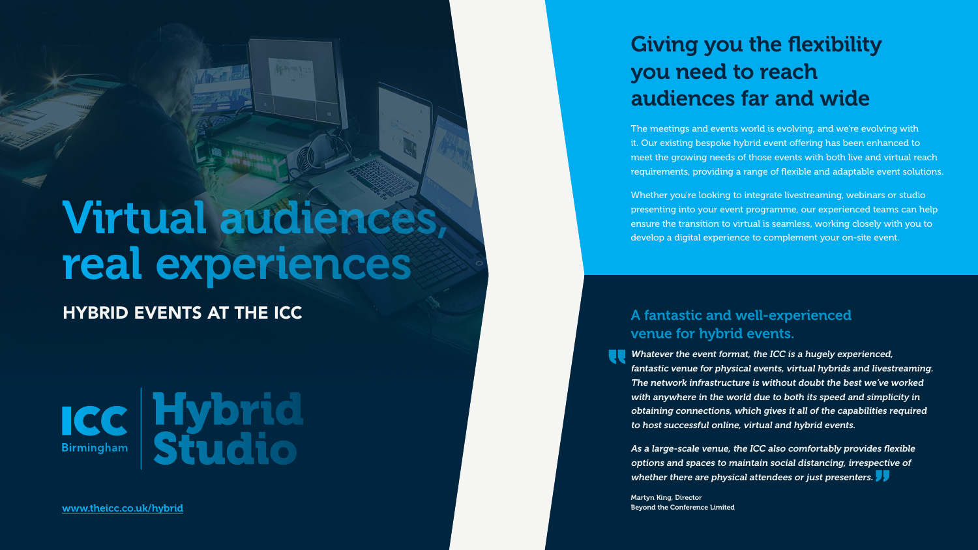# HYBRID EVENTS AT THE ICC Virtual audiences, real experiences



[www.theicc.co.uk/hybrid](http://www.theicc.co.uk/hybrid)

The meetings and events world is evolving, and we're evolving with it. Our existing bespoke hybrid event offering has been enhanced to meet the growing needs of those events with both live and virtual reach requirements, providing a range of flexible and adaptable event solutions. Whether you're looking to integrate livestreaming, webinars or studio

presenting into your event programme, our experienced teams can help ensure the transition to virtual is seamless, working closely with you to develop a digital experience to complement your on-site event.

As a large-scale venue, the ICC also comfortably provides flexible options and spaces to maintain social distancing, irrespective of whether there are physical attendees or just presenters.  $\blacktriangleright$ 

## Giving you the flexibility you need to reach audiences far and wide

### A fantastic and well-experienced venue for hybrid events.

Whatever the event format, the ICC is a hugely experienced, fantastic venue for physical events, virtual hybrids and livestreaming. The network infrastructure is without doubt the best we've worked with anywhere in the world due to both its speed and simplicity in obtaining connections, which gives it all of the capabilities required to host successful online, virtual and hybrid events.

Martyn King, Director Beyond the Conference Limited